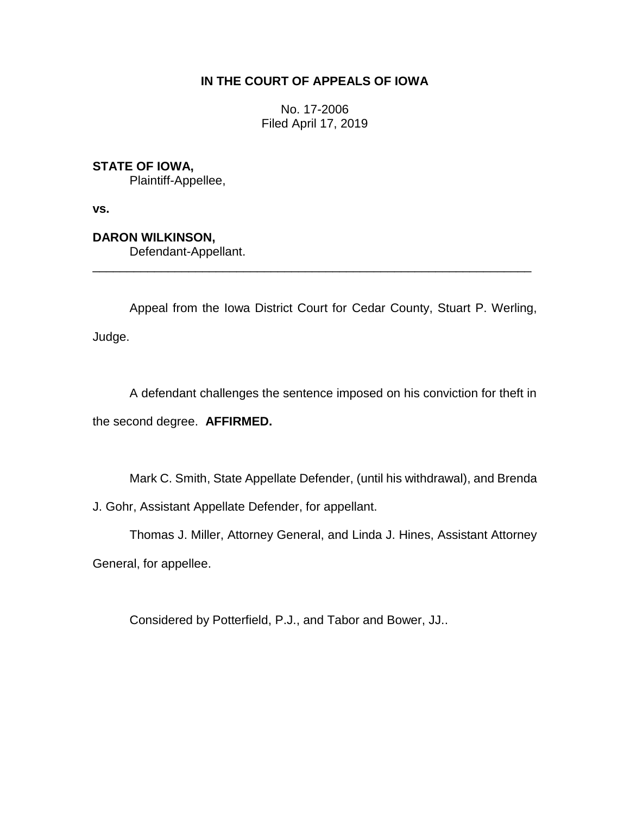## **IN THE COURT OF APPEALS OF IOWA**

No. 17-2006 Filed April 17, 2019

## **STATE OF IOWA,**

Plaintiff-Appellee,

**vs.**

**DARON WILKINSON,**

Defendant-Appellant.

Appeal from the Iowa District Court for Cedar County, Stuart P. Werling, Judge.

\_\_\_\_\_\_\_\_\_\_\_\_\_\_\_\_\_\_\_\_\_\_\_\_\_\_\_\_\_\_\_\_\_\_\_\_\_\_\_\_\_\_\_\_\_\_\_\_\_\_\_\_\_\_\_\_\_\_\_\_\_\_\_\_

A defendant challenges the sentence imposed on his conviction for theft in the second degree. **AFFIRMED.**

Mark C. Smith, State Appellate Defender, (until his withdrawal), and Brenda

J. Gohr, Assistant Appellate Defender, for appellant.

Thomas J. Miller, Attorney General, and Linda J. Hines, Assistant Attorney General, for appellee.

Considered by Potterfield, P.J., and Tabor and Bower, JJ..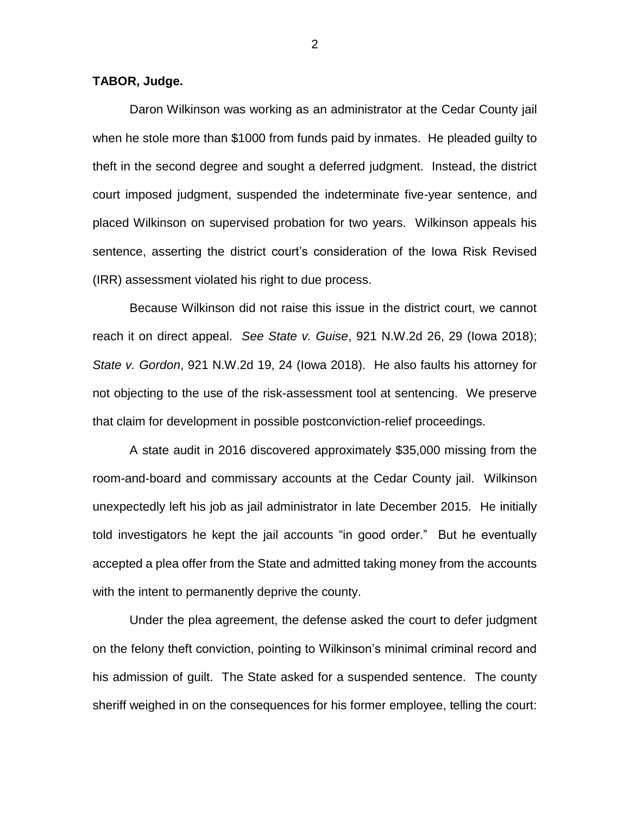## **TABOR, Judge.**

Daron Wilkinson was working as an administrator at the Cedar County jail when he stole more than \$1000 from funds paid by inmates. He pleaded guilty to theft in the second degree and sought a deferred judgment. Instead, the district court imposed judgment, suspended the indeterminate five-year sentence, and placed Wilkinson on supervised probation for two years. Wilkinson appeals his sentence, asserting the district court's consideration of the Iowa Risk Revised (IRR) assessment violated his right to due process.

Because Wilkinson did not raise this issue in the district court, we cannot reach it on direct appeal. *See State v. Guise*, 921 N.W.2d 26, 29 (Iowa 2018); *State v. Gordon*, 921 N.W.2d 19, 24 (Iowa 2018). He also faults his attorney for not objecting to the use of the risk-assessment tool at sentencing. We preserve that claim for development in possible postconviction-relief proceedings.

A state audit in 2016 discovered approximately \$35,000 missing from the room-and-board and commissary accounts at the Cedar County jail. Wilkinson unexpectedly left his job as jail administrator in late December 2015. He initially told investigators he kept the jail accounts "in good order." But he eventually accepted a plea offer from the State and admitted taking money from the accounts with the intent to permanently deprive the county.

Under the plea agreement, the defense asked the court to defer judgment on the felony theft conviction, pointing to Wilkinson's minimal criminal record and his admission of guilt. The State asked for a suspended sentence. The county sheriff weighed in on the consequences for his former employee, telling the court:

2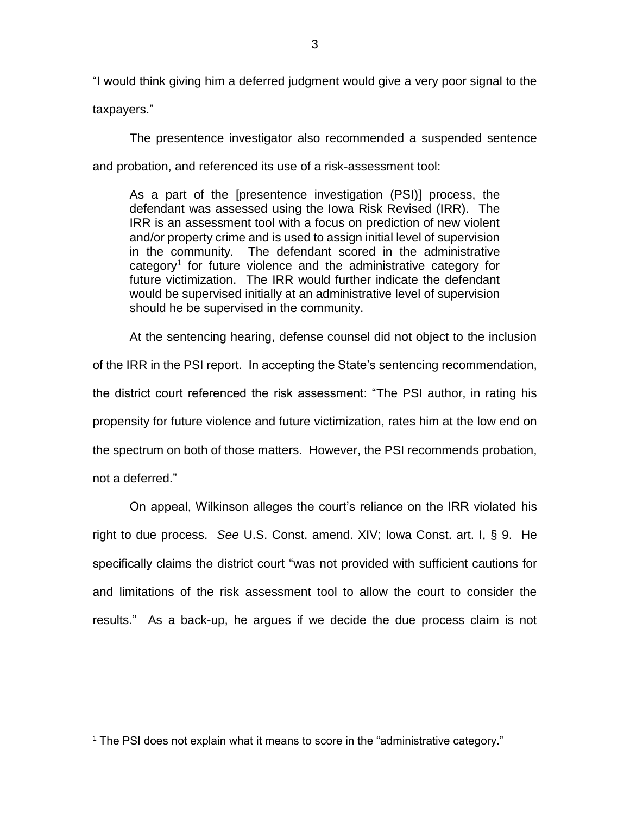"I would think giving him a deferred judgment would give a very poor signal to the

taxpayers."

 $\overline{a}$ 

The presentence investigator also recommended a suspended sentence and probation, and referenced its use of a risk-assessment tool:

As a part of the [presentence investigation (PSI)] process, the defendant was assessed using the Iowa Risk Revised (IRR). The IRR is an assessment tool with a focus on prediction of new violent and/or property crime and is used to assign initial level of supervision in the community. The defendant scored in the administrative category<sup>1</sup> for future violence and the administrative category for future victimization. The IRR would further indicate the defendant would be supervised initially at an administrative level of supervision should he be supervised in the community.

At the sentencing hearing, defense counsel did not object to the inclusion of the IRR in the PSI report. In accepting the State's sentencing recommendation, the district court referenced the risk assessment: "The PSI author, in rating his propensity for future violence and future victimization, rates him at the low end on the spectrum on both of those matters. However, the PSI recommends probation, not a deferred."

On appeal, Wilkinson alleges the court's reliance on the IRR violated his right to due process. *See* U.S. Const. amend. XIV; Iowa Const. art. I, § 9. He specifically claims the district court "was not provided with sufficient cautions for and limitations of the risk assessment tool to allow the court to consider the results." As a back-up, he argues if we decide the due process claim is not

 $1$  The PSI does not explain what it means to score in the "administrative category."